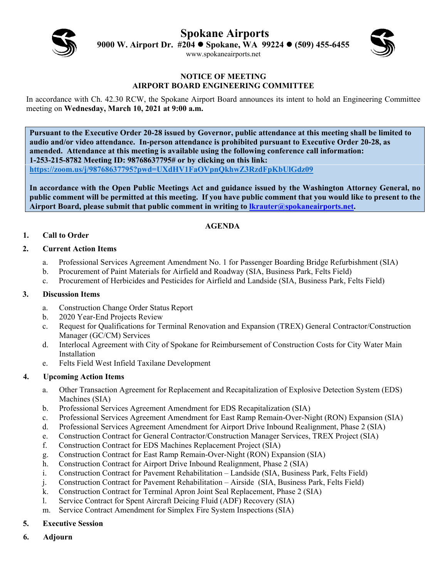**Spokane Airports** 



**9000 W. Airport Dr. #204 Spokane, WA 99224 (509) 455-6455** 

www.spokaneairports.net



#### **NOTICE OF MEETING AIRPORT BOARD ENGINEERING COMMITTEE**

In accordance with Ch. 42.30 RCW, the Spokane Airport Board announces its intent to hold an Engineering Committee meeting on **Wednesday, March 10, 2021 at 9:00 a.m.** 

**Pursuant to the Executive Order 20-28 issued by Governor, public attendance at this meeting shall be limited to audio and/or video attendance. In-person attendance is prohibited pursuant to Executive Order 20-28, as amended. Attendance at this meeting is available using the following conference call information: 1-253-215-8782 Meeting ID: 98768637795# or by clicking on this link: https://zoom.us/j/98768637795?pwd=UXdHV1FaOVpnQkhwZ3RzdFpKbUlGdz09**

**In accordance with the Open Public Meetings Act and guidance issued by the Washington Attorney General, no public comment will be permitted at this meeting. If you have public comment that you would like to present to the Airport Board, please submit that public comment in writing to lkrauter@spokaneairports.net.**

# **AGENDA**

# **1. Call to Order**

### **2. Current Action Items**

- a. Professional Services Agreement Amendment No. 1 for Passenger Boarding Bridge Refurbishment (SIA)
- b. Procurement of Paint Materials for Airfield and Roadway (SIA, Business Park, Felts Field)
- c. Procurement of Herbicides and Pesticides for Airfield and Landside (SIA, Business Park, Felts Field)

#### **3. Discussion Items**

- a. Construction Change Order Status Report
- b. 2020 Year-End Projects Review
- c. Request for Qualifications for Terminal Renovation and Expansion (TREX) General Contractor/Construction Manager (GC/CM) Services
- d. Interlocal Agreement with City of Spokane for Reimbursement of Construction Costs for City Water Main Installation
- e. Felts Field West Infield Taxilane Development

### **4. Upcoming Action Items**

- a. Other Transaction Agreement for Replacement and Recapitalization of Explosive Detection System (EDS) Machines (SIA)
- b. Professional Services Agreement Amendment for EDS Recapitalization (SIA)
- c. Professional Services Agreement Amendment for East Ramp Remain-Over-Night (RON) Expansion (SIA)
- d. Professional Services Agreement Amendment for Airport Drive Inbound Realignment, Phase 2 (SIA)
- e. Construction Contract for General Contractor/Construction Manager Services, TREX Project (SIA)
- f. Construction Contract for EDS Machines Replacement Project (SIA)
- g. Construction Contract for East Ramp Remain-Over-Night (RON) Expansion (SIA)
- h. Construction Contract for Airport Drive Inbound Realignment, Phase 2 (SIA)
- i. Construction Contract for Pavement Rehabilitation Landside (SIA, Business Park, Felts Field)
- j. Construction Contract for Pavement Rehabilitation Airside (SIA, Business Park, Felts Field)
- k. Construction Contract for Terminal Apron Joint Seal Replacement, Phase 2 (SIA)
- l. Service Contract for Spent Aircraft Deicing Fluid (ADF) Recovery (SIA)
- m. Service Contract Amendment for Simplex Fire System Inspections (SIA)

# **5. Executive Session**

**6. Adjourn**